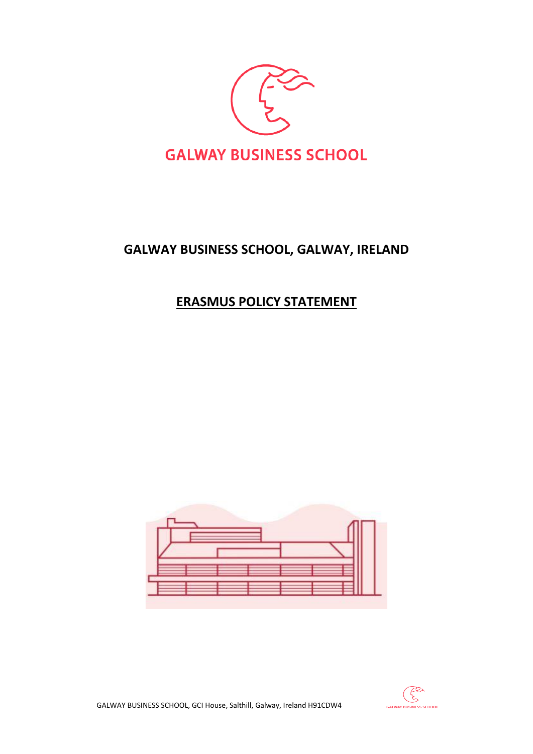

## **GALWAY BUSINESS SCHOOL, GALWAY, IRELAND**

## **ERASMUS POLICY STATEMENT**





GALWAY BUSINESS SCHOOL, GCI House, Salthill, Galway, Ireland H91CDW4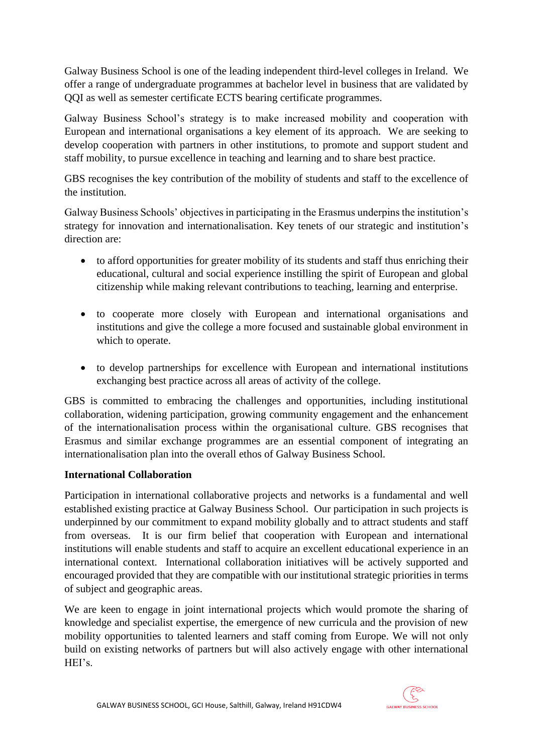Galway Business School is one of the leading independent third-level colleges in Ireland. We offer a range of undergraduate programmes at bachelor level in business that are validated by QQI as well as semester certificate ECTS bearing certificate programmes.

Galway Business School's strategy is to make increased mobility and cooperation with European and international organisations a key element of its approach. We are seeking to develop cooperation with partners in other institutions, to promote and support student and staff mobility, to pursue excellence in teaching and learning and to share best practice.

GBS recognises the key contribution of the mobility of students and staff to the excellence of the institution.

Galway Business Schools' objectives in participating in the Erasmus underpins the institution's strategy for innovation and internationalisation. Key tenets of our strategic and institution's direction are:

- to afford opportunities for greater mobility of its students and staff thus enriching their educational, cultural and social experience instilling the spirit of European and global citizenship while making relevant contributions to teaching, learning and enterprise.
- to cooperate more closely with European and international organisations and institutions and give the college a more focused and sustainable global environment in which to operate.
- to develop partnerships for excellence with European and international institutions exchanging best practice across all areas of activity of the college.

GBS is committed to embracing the challenges and opportunities, including institutional collaboration, widening participation, growing community engagement and the enhancement of the internationalisation process within the organisational culture. GBS recognises that Erasmus and similar exchange programmes are an essential component of integrating an internationalisation plan into the overall ethos of Galway Business School.

## **International Collaboration**

Participation in international collaborative projects and networks is a fundamental and well established existing practice at Galway Business School. Our participation in such projects is underpinned by our commitment to expand mobility globally and to attract students and staff from overseas. It is our firm belief that cooperation with European and international institutions will enable students and staff to acquire an excellent educational experience in an international context. International collaboration initiatives will be actively supported and encouraged provided that they are compatible with our institutional strategic priorities in terms of subject and geographic areas.

We are keen to engage in joint international projects which would promote the sharing of knowledge and specialist expertise, the emergence of new curricula and the provision of new mobility opportunities to talented learners and staff coming from Europe. We will not only build on existing networks of partners but will also actively engage with other international HEI's.